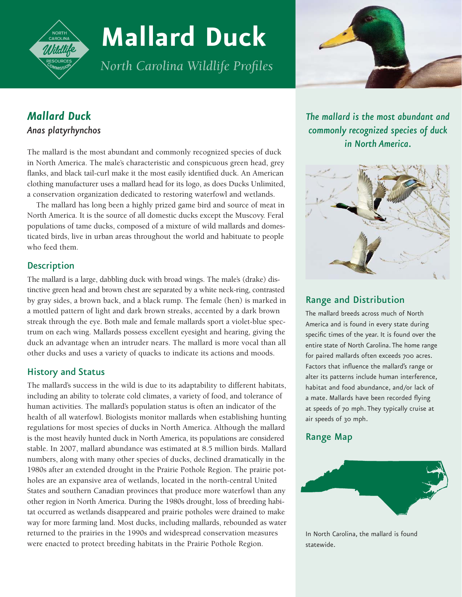

# **Mallard Duck**

*North Carolina Wildlife Profiles*



## *Mallard Duck Anas platyrhynchos*

The mallard is the most abundant and commonly recognized species of duck in North America. The male's characteristic and conspicuous green head, grey flanks, and black tail-curl make it the most easily identified duck. An American clothing manufacturer uses a mallard head for its logo, as does Ducks Unlimited, a conservation organization dedicated to restoring waterfowl and wetlands.

The mallard has long been a highly prized game bird and source of meat in North America. It is the source of all domestic ducks except the Muscovy. Feral populations of tame ducks, composed of a mixture of wild mallards and domesticated birds, live in urban areas throughout the world and habituate to people who feed them.

## **Description**

The mallard is a large, dabbling duck with broad wings. The male's (drake) distinctive green head and brown chest are separated by a white neck-ring, contrasted by gray sides, a brown back, and a black rump. The female (hen) is marked in a mottled pattern of light and dark brown streaks, accented by a dark brown streak through the eye. Both male and female mallards sport a violet-blue spectrum on each wing. Mallards possess excellent eyesight and hearing, giving the duck an advantage when an intruder nears. The mallard is more vocal than all other ducks and uses a variety of quacks to indicate its actions and moods.

## History and Status

The mallard's success in the wild is due to its adaptability to different habitats, including an ability to tolerate cold climates, a variety of food, and tolerance of human activities. The mallard's population status is often an indicator of the health of all waterfowl. Biologists monitor mallards when establishing hunting regulations for most species of ducks in North America. Although the mallard is the most heavily hunted duck in North America, its populations are considered stable. In 2007, mallard abundance was estimated at 8.5 million birds. Mallard numbers, along with many other species of ducks, declined dramatically in the 1980s after an extended drought in the Prairie Pothole Region. The prairie potholes are an expansive area of wetlands, located in the north-central United States and southern Canadian provinces that produce more waterfowl than any other region in North America. During the 1980s drought, loss of breeding habitat occurred as wetlands disappeared and prairie potholes were drained to make way for more farming land. Most ducks, including mallards, rebounded as water returned to the prairies in the 1990s and widespread conservation measures were enacted to protect breeding habitats in the Prairie Pothole Region.

*The mallard is the most abundant and commonly recognized species of duck in North America.*



## Range and Distribution

The mallard breeds across much of North America and is found in every state during specific times of the year. It is found over the entire state of North Carolina. The home range for paired mallards often exceeds 700 acres. Factors that influence the mallard's range or alter its patterns include human interference, habitat and food abundance, and/or lack of a mate. Mallards have been recorded flying at speeds of 70 mph. They typically cruise at air speeds of 30 mph.

## Range Map



In North Carolina, the mallard is found statewide.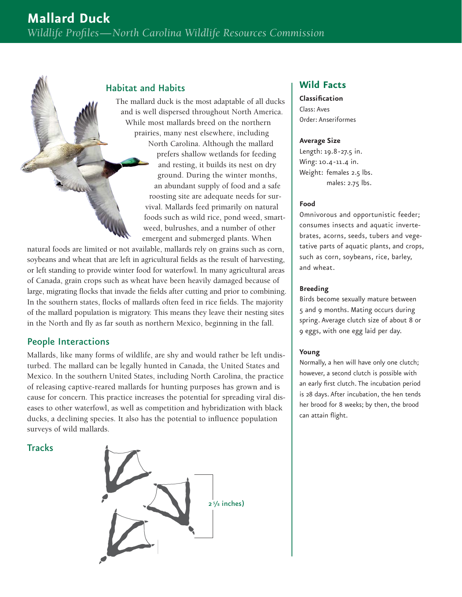### Habitat and Habits

The mallard duck is the most adaptable of all ducks and is well dispersed throughout North America. While most mallards breed on the northern prairies, many nest elsewhere, including North Carolina. Although the mallard prefers shallow wetlands for feeding and resting, it builds its nest on dry ground. During the winter months, an abundant supply of food and a safe roosting site are adequate needs for survival. Mallards feed primarily on natural foods such as wild rice, pond weed, smartweed, bulrushes, and a number of other emergent and submerged plants. When

natural foods are limited or not available, mallards rely on grains such as corn, soybeans and wheat that are left in agricultural fields as the result of harvesting, or left standing to provide winter food for waterfowl. In many agricultural areas of Canada, grain crops such as wheat have been heavily damaged because of large, migrating flocks that invade the fields after cutting and prior to combining. In the southern states, flocks of mallards often feed in rice fields. The majority of the mallard population is migratory. This means they leave their nesting sites in the North and fly as far south as northern Mexico, beginning in the fall.

## People Interactions

Mallards, like many forms of wildlife, are shy and would rather be left undisturbed. The mallard can be legally hunted in Canada, the United States and Mexico. In the southern United States, including North Carolina, the practice of releasing captive-reared mallards for hunting purposes has grown and is cause for concern. This practice increases the potential for spreading viral diseases to other waterfowl, as well as competition and hybridization with black ducks, a declining species. It also has the potential to influence population surveys of wild mallards.

**Tracks** 



## **Wild Facts**

**Classification** Class: Aves Order: Anseriformes

#### **Average Size**

Length: 19.8 -27.5 in. Wing: 10.4-11.4 in. Weight: females 2.5 lbs. males: 2.75 lbs.

#### **Food**

Omnivorous and opportunistic feeder; consumes insects and aquatic invertebrates, acorns, seeds, tubers and vegetative parts of aquatic plants, and crops, such as corn, soybeans, rice, barley, and wheat.

#### **Breeding**

Birds become sexually mature between 5 and 9 months. Mating occurs during spring. Average clutch size of about 8 or 9 eggs, with one egg laid per day.

#### **Young**

Normally, a hen will have only one clutch; however, a second clutch is possible with an early first clutch. The incubation period is 28 days. After incubation, the hen tends her brood for 8 weeks; by then, the brood can attain flight.